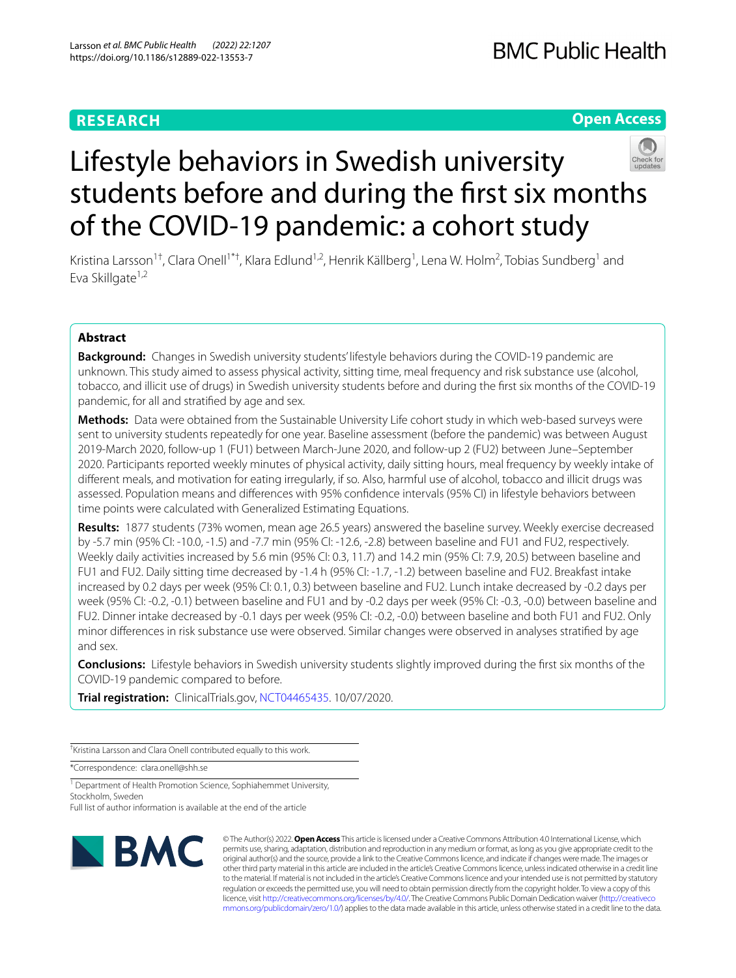# **RESEARCH**

# **Open Access**



# Lifestyle behaviors in Swedish university students before and during the frst six months of the COVID-19 pandemic: a cohort study

Kristina Larsson<sup>1†</sup>, Clara Onell<sup>1\*†</sup>, Klara Edlund<sup>1,2</sup>, Henrik Källberg<sup>1</sup>, Lena W. Holm<sup>2</sup>, Tobias Sundberg<sup>1</sup> and Eva Skillgate<sup>1,2</sup>

# **Abstract**

**Background:** Changes in Swedish university students' lifestyle behaviors during the COVID-19 pandemic are unknown. This study aimed to assess physical activity, sitting time, meal frequency and risk substance use (alcohol, tobacco, and illicit use of drugs) in Swedish university students before and during the frst six months of the COVID-19 pandemic, for all and stratifed by age and sex.

**Methods:** Data were obtained from the Sustainable University Life cohort study in which web-based surveys were sent to university students repeatedly for one year. Baseline assessment (before the pandemic) was between August 2019-March 2020, follow-up 1 (FU1) between March-June 2020, and follow-up 2 (FU2) between June–September 2020. Participants reported weekly minutes of physical activity, daily sitting hours, meal frequency by weekly intake of diferent meals, and motivation for eating irregularly, if so. Also, harmful use of alcohol, tobacco and illicit drugs was assessed. Population means and diferences with 95% confdence intervals (95% CI) in lifestyle behaviors between time points were calculated with Generalized Estimating Equations.

**Results:** 1877 students (73% women, mean age 26.5 years) answered the baseline survey. Weekly exercise decreased by -5.7 min (95% CI: -10.0, -1.5) and -7.7 min (95% CI: -12.6, -2.8) between baseline and FU1 and FU2, respectively. Weekly daily activities increased by 5.6 min (95% CI: 0.3, 11.7) and 14.2 min (95% CI: 7.9, 20.5) between baseline and FU1 and FU2. Daily sitting time decreased by -1.4 h (95% CI: -1.7, -1.2) between baseline and FU2. Breakfast intake increased by 0.2 days per week (95% CI: 0.1, 0.3) between baseline and FU2. Lunch intake decreased by -0.2 days per week (95% CI: -0.2, -0.1) between baseline and FU1 and by -0.2 days per week (95% CI: -0.3, -0.0) between baseline and FU2. Dinner intake decreased by -0.1 days per week (95% CI: -0.2, -0.0) between baseline and both FU1 and FU2. Only minor diferences in risk substance use were observed. Similar changes were observed in analyses stratifed by age and sex.

**Conclusions:** Lifestyle behaviors in Swedish university students slightly improved during the frst six months of the COVID-19 pandemic compared to before.

**Trial registration:** ClinicalTrials.gov, [NCT04465435](https://www.clinicaltrials.gov/ct2/show/NCT04465435?term=NCT04465435&draw=2&rank=1). 10/07/2020.

† Kristina Larsson and Clara Onell contributed equally to this work.

\*Correspondence: clara.onell@shh.se

<sup>1</sup> Department of Health Promotion Science, Sophiahemmet University, Stockholm, Sweden

Full list of author information is available at the end of the article



© The Author(s) 2022. **Open Access** This article is licensed under a Creative Commons Attribution 4.0 International License, which permits use, sharing, adaptation, distribution and reproduction in any medium or format, as long as you give appropriate credit to the original author(s) and the source, provide a link to the Creative Commons licence, and indicate if changes were made. The images or other third party material in this article are included in the article's Creative Commons licence, unless indicated otherwise in a credit line to the material. If material is not included in the article's Creative Commons licence and your intended use is not permitted by statutory regulation or exceeds the permitted use, you will need to obtain permission directly from the copyright holder. To view a copy of this licence, visit [http://creativecommons.org/licenses/by/4.0/.](http://creativecommons.org/licenses/by/4.0/) The Creative Commons Public Domain Dedication waiver ([http://creativeco](http://creativecommons.org/publicdomain/zero/1.0/) [mmons.org/publicdomain/zero/1.0/](http://creativecommons.org/publicdomain/zero/1.0/)) applies to the data made available in this article, unless otherwise stated in a credit line to the data.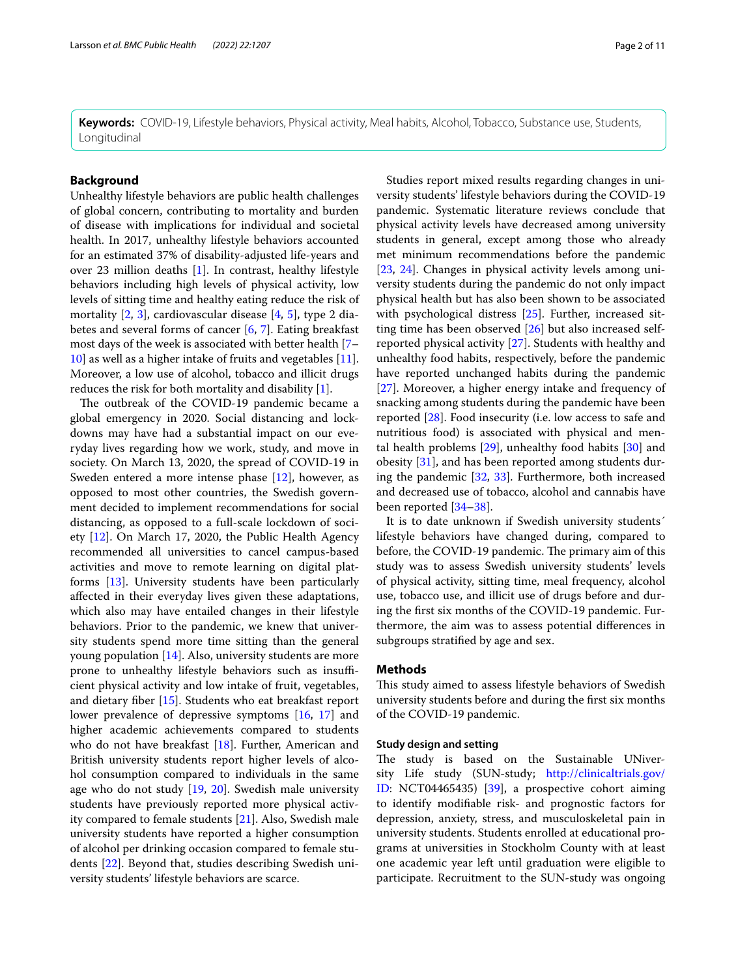**Keywords:** COVID-19, Lifestyle behaviors, Physical activity, Meal habits, Alcohol, Tobacco, Substance use, Students, Longitudinal

# **Background**

Unhealthy lifestyle behaviors are public health challenges of global concern, contributing to mortality and burden of disease with implications for individual and societal health. In 2017, unhealthy lifestyle behaviors accounted for an estimated 37% of disability-adjusted life-years and over 23 million deaths [[1\]](#page-8-0). In contrast, healthy lifestyle behaviors including high levels of physical activity, low levels of sitting time and healthy eating reduce the risk of mortality [[2,](#page-8-1) [3\]](#page-8-2), cardiovascular disease [\[4](#page-8-3), [5](#page-8-4)], type 2 diabetes and several forms of cancer [[6,](#page-8-5) [7\]](#page-8-6). Eating breakfast most days of the week is associated with better health [[7–](#page-8-6) [10\]](#page-8-7) as well as a higher intake of fruits and vegetables [\[11](#page-8-8)]. Moreover, a low use of alcohol, tobacco and illicit drugs reduces the risk for both mortality and disability [[1\]](#page-8-0).

The outbreak of the COVID-19 pandemic became a global emergency in 2020. Social distancing and lockdowns may have had a substantial impact on our everyday lives regarding how we work, study, and move in society. On March 13, 2020, the spread of COVID-19 in Sweden entered a more intense phase [\[12](#page-8-9)], however, as opposed to most other countries, the Swedish government decided to implement recommendations for social distancing, as opposed to a full-scale lockdown of society [[12\]](#page-8-9). On March 17, 2020, the Public Health Agency recommended all universities to cancel campus-based activities and move to remote learning on digital platforms [[13](#page-8-10)]. University students have been particularly afected in their everyday lives given these adaptations, which also may have entailed changes in their lifestyle behaviors. Prior to the pandemic, we knew that university students spend more time sitting than the general young population [\[14\]](#page-8-11). Also, university students are more prone to unhealthy lifestyle behaviors such as insufficient physical activity and low intake of fruit, vegetables, and dietary fber [[15\]](#page-9-0). Students who eat breakfast report lower prevalence of depressive symptoms [\[16](#page-9-1), [17\]](#page-9-2) and higher academic achievements compared to students who do not have breakfast [\[18](#page-9-3)]. Further, American and British university students report higher levels of alcohol consumption compared to individuals in the same age who do not study [\[19](#page-9-4), [20\]](#page-9-5). Swedish male university students have previously reported more physical activity compared to female students [[21\]](#page-9-6). Also, Swedish male university students have reported a higher consumption of alcohol per drinking occasion compared to female students [\[22](#page-9-7)]. Beyond that, studies describing Swedish university students' lifestyle behaviors are scarce.

Studies report mixed results regarding changes in university students' lifestyle behaviors during the COVID-19 pandemic. Systematic literature reviews conclude that physical activity levels have decreased among university students in general, except among those who already met minimum recommendations before the pandemic [[23,](#page-9-8) [24\]](#page-9-9). Changes in physical activity levels among university students during the pandemic do not only impact physical health but has also been shown to be associated with psychological distress [[25](#page-9-10)]. Further, increased sitting time has been observed [[26\]](#page-9-11) but also increased selfreported physical activity [\[27\]](#page-9-12). Students with healthy and unhealthy food habits, respectively, before the pandemic have reported unchanged habits during the pandemic [[27\]](#page-9-12). Moreover, a higher energy intake and frequency of snacking among students during the pandemic have been reported [\[28](#page-9-13)]. Food insecurity (i.e. low access to safe and nutritious food) is associated with physical and mental health problems [[29\]](#page-9-14), unhealthy food habits [\[30\]](#page-9-15) and obesity [[31\]](#page-9-16), and has been reported among students during the pandemic [\[32](#page-9-17), [33\]](#page-9-18). Furthermore, both increased and decreased use of tobacco, alcohol and cannabis have been reported [[34–](#page-9-19)[38\]](#page-9-20).

It is to date unknown if Swedish university students´ lifestyle behaviors have changed during, compared to before, the COVID-19 pandemic. The primary aim of this study was to assess Swedish university students' levels of physical activity, sitting time, meal frequency, alcohol use, tobacco use, and illicit use of drugs before and during the frst six months of the COVID-19 pandemic. Furthermore, the aim was to assess potential diferences in subgroups stratifed by age and sex.

#### **Methods**

This study aimed to assess lifestyle behaviors of Swedish university students before and during the frst six months of the COVID-19 pandemic.

# **Study design and setting**

The study is based on the Sustainable UNiversity Life study (SUN-study; [http://clinicaltrials.gov/](http://clinicaltrials.gov/ID) [ID](http://clinicaltrials.gov/ID): NCT04465435) [\[39\]](#page-9-21), a prospective cohort aiming to identify modifable risk- and prognostic factors for depression, anxiety, stress, and musculoskeletal pain in university students. Students enrolled at educational programs at universities in Stockholm County with at least one academic year left until graduation were eligible to participate. Recruitment to the SUN-study was ongoing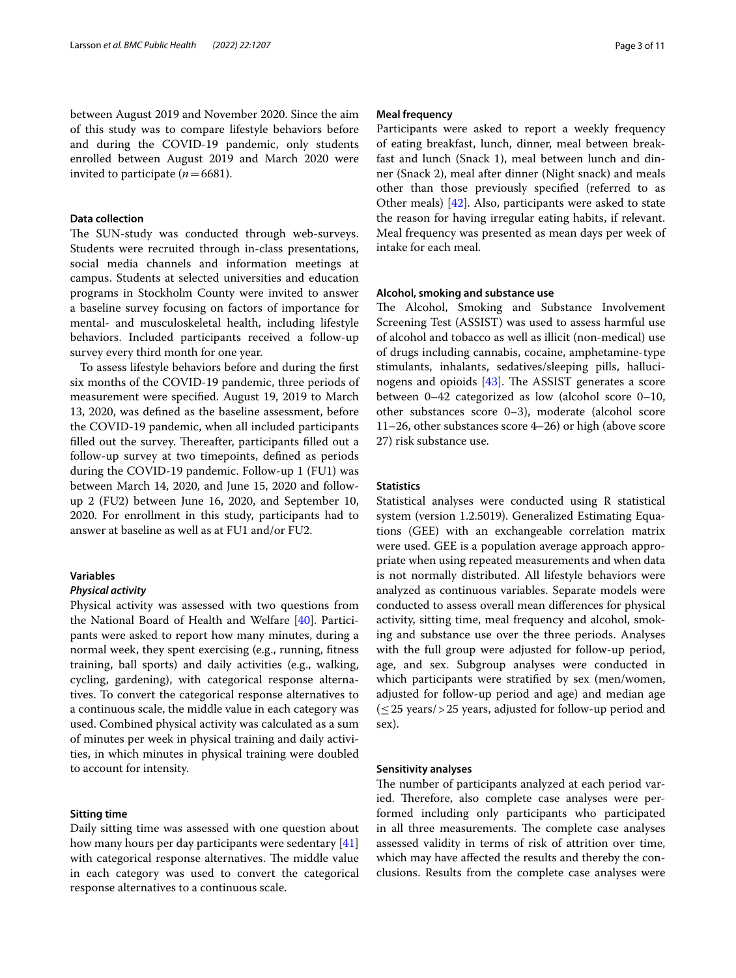between August 2019 and November 2020. Since the aim of this study was to compare lifestyle behaviors before and during the COVID-19 pandemic, only students enrolled between August 2019 and March 2020 were invited to participate  $(n=6681)$ .

# **Data collection**

The SUN-study was conducted through web-surveys. Students were recruited through in-class presentations, social media channels and information meetings at campus. Students at selected universities and education programs in Stockholm County were invited to answer a baseline survey focusing on factors of importance for mental- and musculoskeletal health, including lifestyle behaviors. Included participants received a follow-up survey every third month for one year.

To assess lifestyle behaviors before and during the frst six months of the COVID-19 pandemic, three periods of measurement were specifed. August 19, 2019 to March 13, 2020, was defned as the baseline assessment, before the COVID-19 pandemic, when all included participants filled out the survey. Thereafter, participants filled out a follow-up survey at two timepoints, defned as periods during the COVID-19 pandemic. Follow-up 1 (FU1) was between March 14, 2020, and June 15, 2020 and followup 2 (FU2) between June 16, 2020, and September 10, 2020. For enrollment in this study, participants had to answer at baseline as well as at FU1 and/or FU2.

# **Variables**

# *Physical activity*

Physical activity was assessed with two questions from the National Board of Health and Welfare [\[40](#page-9-22)]. Participants were asked to report how many minutes, during a normal week, they spent exercising (e.g., running, ftness training, ball sports) and daily activities (e.g., walking, cycling, gardening), with categorical response alternatives. To convert the categorical response alternatives to a continuous scale, the middle value in each category was used. Combined physical activity was calculated as a sum of minutes per week in physical training and daily activities, in which minutes in physical training were doubled to account for intensity.

# **Sitting time**

Daily sitting time was assessed with one question about how many hours per day participants were sedentary [[41](#page-9-23)] with categorical response alternatives. The middle value in each category was used to convert the categorical response alternatives to a continuous scale.

# **Meal frequency**

Participants were asked to report a weekly frequency of eating breakfast, lunch, dinner, meal between breakfast and lunch (Snack 1), meal between lunch and dinner (Snack 2), meal after dinner (Night snack) and meals other than those previously specifed (referred to as Other meals) [\[42](#page-9-24)]. Also, participants were asked to state the reason for having irregular eating habits, if relevant. Meal frequency was presented as mean days per week of intake for each meal.

# **Alcohol, smoking and substance use**

The Alcohol, Smoking and Substance Involvement Screening Test (ASSIST) was used to assess harmful use of alcohol and tobacco as well as illicit (non-medical) use of drugs including cannabis, cocaine, amphetamine-type stimulants, inhalants, sedatives/sleeping pills, hallucinogens and opioids  $[43]$ . The ASSIST generates a score between 0–42 categorized as low (alcohol score 0–10, other substances score 0–3), moderate (alcohol score 11–26, other substances score 4–26) or high (above score 27) risk substance use.

# **Statistics**

Statistical analyses were conducted using R statistical system (version 1.2.5019). Generalized Estimating Equations (GEE) with an exchangeable correlation matrix were used. GEE is a population average approach appropriate when using repeated measurements and when data is not normally distributed. All lifestyle behaviors were analyzed as continuous variables. Separate models were conducted to assess overall mean diferences for physical activity, sitting time, meal frequency and alcohol, smoking and substance use over the three periods. Analyses with the full group were adjusted for follow-up period, age, and sex. Subgroup analyses were conducted in which participants were stratifed by sex (men/women, adjusted for follow-up period and age) and median age  $({\leq}25 \text{ years}/{\ge}25 \text{ years},$  adjusted for follow-up period and sex).

#### **Sensitivity analyses**

The number of participants analyzed at each period varied. Therefore, also complete case analyses were performed including only participants who participated in all three measurements. The complete case analyses assessed validity in terms of risk of attrition over time, which may have afected the results and thereby the conclusions. Results from the complete case analyses were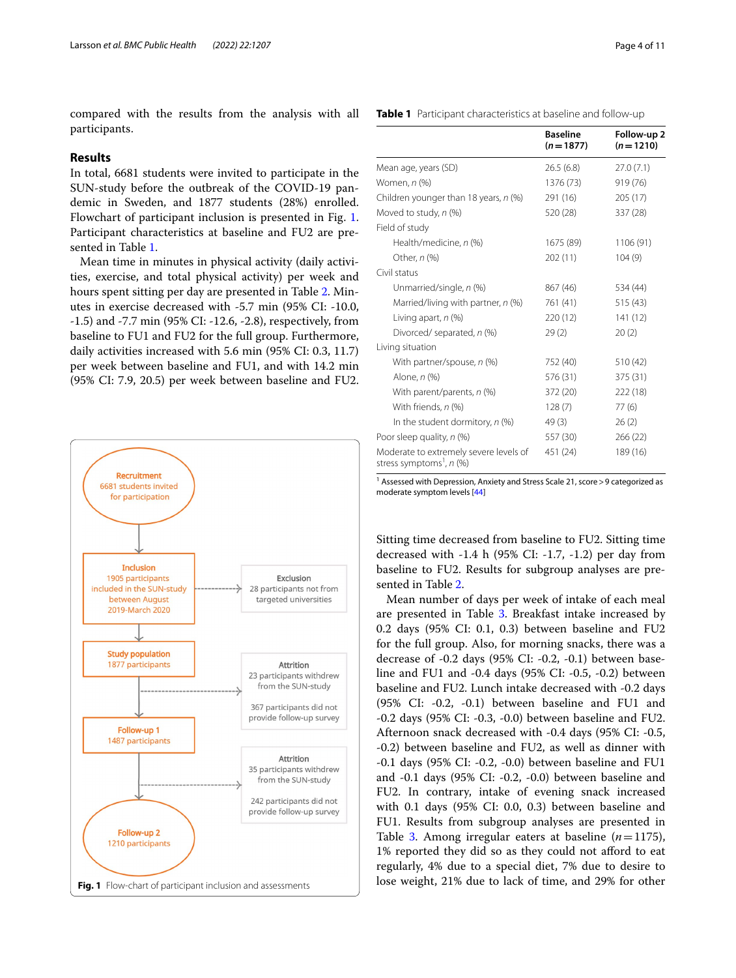compared with the results from the analysis with all participants.

# **Results**

In total, 6681 students were invited to participate in the SUN-study before the outbreak of the COVID-19 pandemic in Sweden, and 1877 students (28%) enrolled. Flowchart of participant inclusion is presented in Fig. [1](#page-3-0). Participant characteristics at baseline and FU2 are presented in Table [1.](#page-3-1)

Mean time in minutes in physical activity (daily activities, exercise, and total physical activity) per week and hours spent sitting per day are presented in Table [2](#page-4-0). Minutes in exercise decreased with -5.7 min (95% CI: -10.0, -1.5) and -7.7 min (95% CI: -12.6, -2.8), respectively, from baseline to FU1 and FU2 for the full group. Furthermore, daily activities increased with 5.6 min (95% CI: 0.3, 11.7) per week between baseline and FU1, and with 14.2 min (95% CI: 7.9, 20.5) per week between baseline and FU2.



<span id="page-3-1"></span>**Table 1** Participant characteristics at baseline and follow-up

|                                                                                | <b>Baseline</b><br>$(n = 1877)$ | Follow-up 2<br>$(n=1210)$ |
|--------------------------------------------------------------------------------|---------------------------------|---------------------------|
| Mean age, years (SD)                                                           | 26.5(6.8)                       | 27.0(7.1)                 |
| Women, n (%)                                                                   | 1376 (73)                       | 919 (76)                  |
| Children younger than 18 years, n (%)                                          | 291 (16)                        | 205 (17)                  |
| Moved to study, n (%)                                                          | 520 (28)                        | 337 (28)                  |
| Field of study                                                                 |                                 |                           |
| Health/medicine, n (%)                                                         | 1675 (89)                       | 1106 (91)                 |
| Other, n (%)                                                                   | 202 (11)                        | 104(9)                    |
| Civil status                                                                   |                                 |                           |
| Unmarried/single, n (%)                                                        | 867 (46)                        | 534 (44)                  |
| Married/living with partner, n (%)                                             | 761 (41)                        | 515(43)                   |
| Living apart, $n$ (%)                                                          | 220 (12)                        | 141(12)                   |
| Divorced/ separated, n (%)                                                     | 29(2)                           | 20(2)                     |
| Living situation                                                               |                                 |                           |
| With partner/spouse, n (%)                                                     | 752 (40)                        | 510 (42)                  |
| Alone, n (%)                                                                   | 576 (31)                        | 375 (31)                  |
| With parent/parents, n (%)                                                     | 372 (20)                        | 222 (18)                  |
| With friends, n (%)                                                            | 128(7)                          | 77(6)                     |
| In the student dormitory, $n$ (%)                                              | 49(3)                           | 26(2)                     |
| Poor sleep quality, n (%)                                                      | 557 (30)                        | 266 (22)                  |
| Moderate to extremely severe levels of<br>stress symptoms <sup>1</sup> , n (%) | 451 (24)                        | 189 (16)                  |

<sup>1</sup> Assessed with Depression, Anxiety and Stress Scale 21, score > 9 categorized as moderate symptom levels [[44](#page-9-26)]

Sitting time decreased from baseline to FU2. Sitting time decreased with -1.4 h (95% CI: -1.7, -1.2) per day from baseline to FU2. Results for subgroup analyses are presented in Table [2.](#page-4-0)

<span id="page-3-0"></span>Mean number of days per week of intake of each meal are presented in Table [3.](#page-5-0) Breakfast intake increased by 0.2 days (95% CI: 0.1, 0.3) between baseline and FU2 for the full group. Also, for morning snacks, there was a decrease of -0.2 days (95% CI: -0.2, -0.1) between baseline and FU1 and -0.4 days (95% CI: -0.5, -0.2) between baseline and FU2. Lunch intake decreased with -0.2 days (95% CI: -0.2, -0.1) between baseline and FU1 and -0.2 days (95% CI: -0.3, -0.0) between baseline and FU2. Afternoon snack decreased with -0.4 days (95% CI: -0.5, -0.2) between baseline and FU2, as well as dinner with -0.1 days (95% CI: -0.2, -0.0) between baseline and FU1 and -0.1 days (95% CI: -0.2, -0.0) between baseline and FU2. In contrary, intake of evening snack increased with 0.1 days (95% CI: 0.0, 0.3) between baseline and FU1. Results from subgroup analyses are presented in Table [3](#page-5-0). Among irregular eaters at baseline  $(n=1175)$ , 1% reported they did so as they could not aford to eat regularly, 4% due to a special diet, 7% due to desire to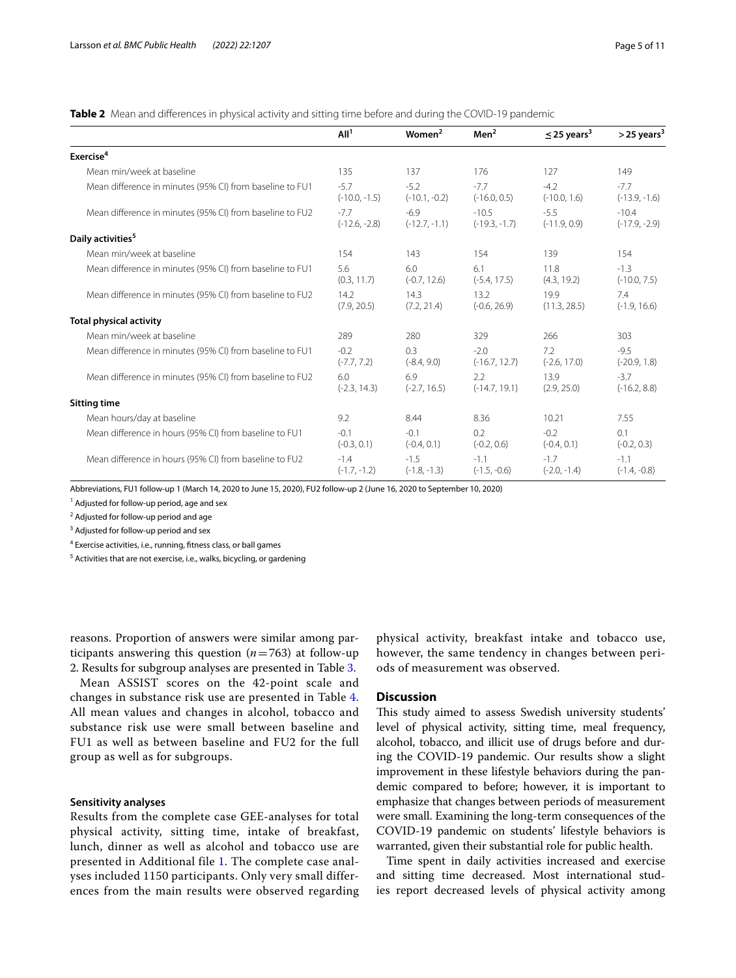<span id="page-4-0"></span>**Table 2** Mean and differences in physical activity and sitting time before and during the COVID-19 pandemic

|                                                          | All <sup>1</sup>          | Women <sup>2</sup>        | Men <sup>2</sup>           | $\leq$ 25 years <sup>3</sup> | $>$ 25 years <sup>3</sup>  |
|----------------------------------------------------------|---------------------------|---------------------------|----------------------------|------------------------------|----------------------------|
| Exercise <sup>4</sup>                                    |                           |                           |                            |                              |                            |
| Mean min/week at baseline                                | 135                       | 137                       | 176                        | 127                          | 149                        |
| Mean difference in minutes (95% CI) from baseline to FU1 | $-5.7$<br>$(-10.0, -1.5)$ | $-5.2$<br>$(-10.1, -0.2)$ | $-7.7$<br>$(-16.0, 0.5)$   | $-4.2$<br>$(-10.0, 1.6)$     | $-7.7$<br>$(-13.9, -1.6)$  |
| Mean difference in minutes (95% CI) from baseline to FU2 | $-7.7$<br>$(-12.6, -2.8)$ | $-6.9$<br>$(-12.7, -1.1)$ | $-10.5$<br>$(-19.3, -1.7)$ | $-5.5$<br>$(-11.9, 0.9)$     | $-10.4$<br>$(-17.9, -2.9)$ |
| Daily activities <sup>5</sup>                            |                           |                           |                            |                              |                            |
| Mean min/week at baseline                                | 154                       | 143                       | 154                        | 139                          | 154                        |
| Mean difference in minutes (95% CI) from baseline to FU1 | 5.6<br>(0.3, 11.7)        | 6.0<br>$(-0.7, 12.6)$     | 6.1<br>$(-5.4, 17.5)$      | 11.8<br>(4.3, 19.2)          | $-1.3$<br>$(-10.0, 7.5)$   |
| Mean difference in minutes (95% CI) from baseline to FU2 | 14.2<br>(7.9, 20.5)       | 14.3<br>(7.2, 21.4)       | 13.2<br>$(-0.6, 26.9)$     | 19.9<br>(11.3, 28.5)         | 7.4<br>$(-1.9, 16.6)$      |
| <b>Total physical activity</b>                           |                           |                           |                            |                              |                            |
| Mean min/week at baseline                                | 289                       | 280                       | 329                        | 266                          | 303                        |
| Mean difference in minutes (95% CI) from baseline to FU1 | $-0.2$<br>$(-7.7, 7.2)$   | 0.3<br>$(-8.4, 9.0)$      | $-2.0$<br>$(-16.7, 12.7)$  | 7.2<br>$(-2.6, 17.0)$        | $-9.5$<br>$(-20.9, 1.8)$   |
| Mean difference in minutes (95% CI) from baseline to FU2 | 6.0<br>$(-2.3, 14.3)$     | 6.9<br>$(-2.7, 16.5)$     | 2.2<br>$(-14.7, 19.1)$     | 13.9<br>(2.9, 25.0)          | $-3.7$<br>$(-16.2, 8.8)$   |
| <b>Sitting time</b>                                      |                           |                           |                            |                              |                            |
| Mean hours/day at baseline                               | 9.2                       | 8.44                      | 8.36                       | 10.21                        | 7.55                       |
| Mean difference in hours (95% CI) from baseline to FU1   | $-0.1$<br>$(-0.3, 0.1)$   | $-0.1$<br>$(-0.4, 0.1)$   | 0.2<br>$(-0.2, 0.6)$       | $-0.2$<br>$(-0.4, 0.1)$      | 0.1<br>$(-0.2, 0.3)$       |
| Mean difference in hours (95% CI) from baseline to FU2   | $-1.4$<br>$(-1.7, -1.2)$  | $-1.5$<br>$(-1.8, -1.3)$  | $-1.1$<br>$(-1.5, -0.6)$   | $-1.7$<br>$(-2.0, -1.4)$     | $-1.1$<br>$(-1.4, -0.8)$   |

Abbreviations, FU1 follow-up 1 (March 14, 2020 to June 15, 2020), FU2 follow-up 2 (June 16, 2020 to September 10, 2020)

<sup>1</sup> Adjusted for follow-up period, age and sex

<sup>2</sup> Adjusted for follow-up period and age

<sup>3</sup> Adjusted for follow-up period and sex

<sup>4</sup> Exercise activities, i.e., running, fitness class, or ball games

<sup>5</sup> Activities that are not exercise, i.e., walks, bicycling, or gardening

reasons. Proportion of answers were similar among participants answering this question (*n*=763) at follow-up 2. Results for subgroup analyses are presented in Table [3](#page-5-0).

Mean ASSIST scores on the 42-point scale and changes in substance risk use are presented in Table [4](#page-6-0). All mean values and changes in alcohol, tobacco and substance risk use were small between baseline and FU1 as well as between baseline and FU2 for the full group as well as for subgroups.

# **Sensitivity analyses**

Results from the complete case GEE-analyses for total physical activity, sitting time, intake of breakfast, lunch, dinner as well as alcohol and tobacco use are presented in Additional file [1.](#page-8-12) The complete case analyses included 1150 participants. Only very small differences from the main results were observed regarding physical activity, breakfast intake and tobacco use, however, the same tendency in changes between periods of measurement was observed.

# **Discussion**

This study aimed to assess Swedish university students' level of physical activity, sitting time, meal frequency, alcohol, tobacco, and illicit use of drugs before and during the COVID-19 pandemic. Our results show a slight improvement in these lifestyle behaviors during the pandemic compared to before; however, it is important to emphasize that changes between periods of measurement were small. Examining the long-term consequences of the COVID-19 pandemic on students' lifestyle behaviors is warranted, given their substantial role for public health.

Time spent in daily activities increased and exercise and sitting time decreased. Most international studies report decreased levels of physical activity among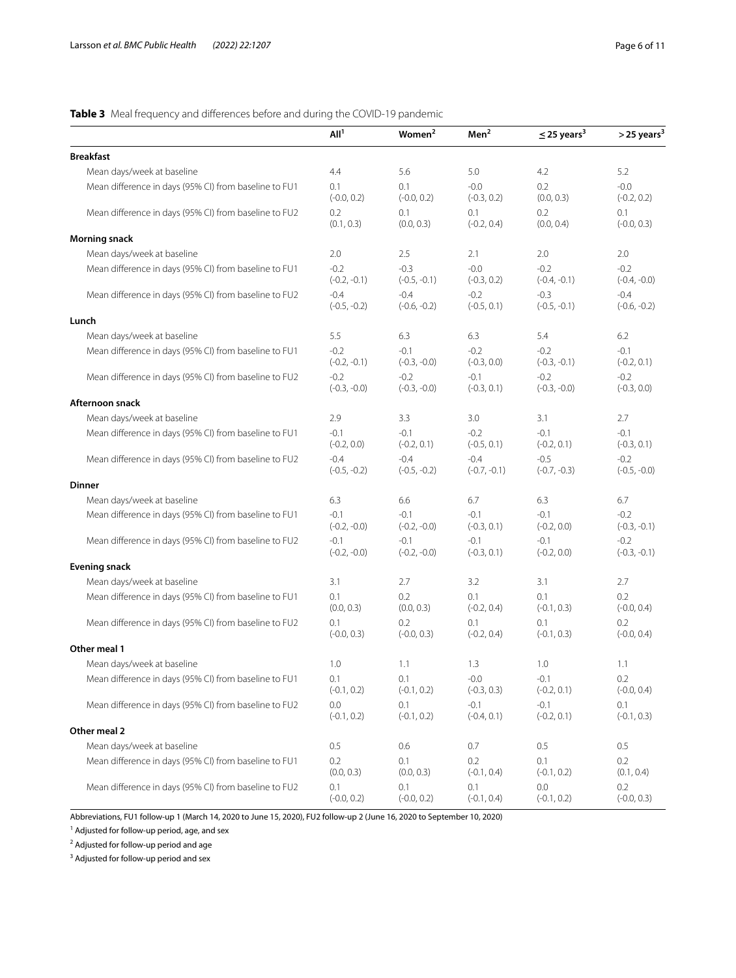# <span id="page-5-0"></span>**Table 3** Meal frequency and diferences before and during the COVID-19 pandemic

|                                                       | All <sup>1</sup>         | Women <sup>2</sup>       | Men <sup>2</sup>         | $\leq$ 25 years <sup>3</sup> | $>$ 25 years <sup>3</sup> |
|-------------------------------------------------------|--------------------------|--------------------------|--------------------------|------------------------------|---------------------------|
| <b>Breakfast</b>                                      |                          |                          |                          |                              |                           |
| Mean days/week at baseline                            | 4.4                      | 5.6                      | 5.0                      | 4.2                          | 5.2                       |
| Mean difference in days (95% CI) from baseline to FU1 | 0.1<br>$(-0.0, 0.2)$     | 0.1<br>$(-0.0, 0.2)$     | $-0.0$<br>$(-0.3, 0.2)$  | 0.2<br>(0.0, 0.3)            | $-0.0$<br>$(-0.2, 0.2)$   |
| Mean difference in days (95% CI) from baseline to FU2 | 0.2<br>(0.1, 0.3)        | 0.1<br>(0.0, 0.3)        | 0.1<br>$(-0.2, 0.4)$     | 0.2<br>(0.0, 0.4)            | 0.1<br>$(-0.0, 0.3)$      |
| <b>Morning snack</b>                                  |                          |                          |                          |                              |                           |
| Mean days/week at baseline                            | 2.0                      | 2.5                      | 2.1                      | 2.0                          | 2.0                       |
| Mean difference in days (95% CI) from baseline to FU1 | $-0.2$<br>$(-0.2, -0.1)$ | $-0.3$<br>$(-0.5, -0.1)$ | $-0.0$<br>$(-0.3, 0.2)$  | $-0.2$<br>$(-0.4, -0.1)$     | $-0.2$<br>$(-0.4, -0.0)$  |
| Mean difference in days (95% CI) from baseline to FU2 | $-0.4$<br>$(-0.5, -0.2)$ | $-0.4$<br>$(-0.6, -0.2)$ | $-0.2$<br>$(-0.5, 0.1)$  | $-0.3$<br>$(-0.5, -0.1)$     | $-0.4$<br>$(-0.6, -0.2)$  |
| Lunch                                                 |                          |                          |                          |                              |                           |
| Mean days/week at baseline                            | 5.5                      | 6.3                      | 6.3                      | 5.4                          | 6.2                       |
| Mean difference in days (95% CI) from baseline to FU1 | $-0.2$<br>$(-0.2, -0.1)$ | $-0.1$<br>$(-0.3, -0.0)$ | $-0.2$<br>$(-0.3, 0.0)$  | $-0.2$<br>$(-0.3, -0.1)$     | $-0.1$<br>$(-0.2, 0.1)$   |
| Mean difference in days (95% CI) from baseline to FU2 | $-0.2$<br>$(-0.3, -0.0)$ | $-0.2$<br>$(-0.3, -0.0)$ | $-0.1$<br>$(-0.3, 0.1)$  | $-0.2$<br>$(-0.3, -0.0)$     | $-0.2$<br>$(-0.3, 0.0)$   |
| Afternoon snack                                       |                          |                          |                          |                              |                           |
| Mean days/week at baseline                            | 2.9                      | 3.3                      | 3.0                      | 3.1                          | 2.7                       |
| Mean difference in days (95% CI) from baseline to FU1 | $-0.1$<br>$(-0.2, 0.0)$  | $-0.1$<br>$(-0.2, 0.1)$  | $-0.2$<br>$(-0.5, 0.1)$  | $-0.1$<br>$(-0.2, 0.1)$      | $-0.1$<br>$(-0.3, 0.1)$   |
| Mean difference in days (95% CI) from baseline to FU2 | $-0.4$<br>$(-0.5, -0.2)$ | $-0.4$<br>$(-0.5, -0.2)$ | $-0.4$<br>$(-0.7, -0.1)$ | $-0.5$<br>$(-0.7, -0.3)$     | $-0.2$<br>$(-0.5, -0.0)$  |
| <b>Dinner</b>                                         |                          |                          |                          |                              |                           |
| Mean days/week at baseline                            | 6.3                      | 6.6                      | 6.7                      | 6.3                          | 6.7                       |
| Mean difference in days (95% CI) from baseline to FU1 | $-0.1$<br>$(-0.2, -0.0)$ | $-0.1$<br>$(-0.2, -0.0)$ | $-0.1$<br>$(-0.3, 0.1)$  | $-0.1$<br>$(-0.2, 0.0)$      | $-0.2$<br>$(-0.3, -0.1)$  |
| Mean difference in days (95% CI) from baseline to FU2 | $-0.1$<br>$(-0.2, -0.0)$ | $-0.1$<br>$(-0.2, -0.0)$ | $-0.1$<br>$(-0.3, 0.1)$  | $-0.1$<br>$(-0.2, 0.0)$      | $-0.2$<br>$(-0.3, -0.1)$  |
| <b>Evening snack</b>                                  |                          |                          |                          |                              |                           |
| Mean days/week at baseline                            | 3.1                      | 2.7                      | 3.2                      | 3.1                          | 2.7                       |
| Mean difference in days (95% CI) from baseline to FU1 | 0.1<br>(0.0, 0.3)        | 0.2<br>(0.0, 0.3)        | 0.1<br>$(-0.2, 0.4)$     | 0.1<br>$(-0.1, 0.3)$         | 0.2<br>$(-0.0, 0.4)$      |
| Mean difference in days (95% CI) from baseline to FU2 | 0.1<br>$(-0.0, 0.3)$     | 0.2<br>$(-0.0, 0.3)$     | 0.1<br>$(-0.2, 0.4)$     | 0.1<br>$(-0.1, 0.3)$         | 0.2<br>$(-0.0, 0.4)$      |
| Other meal 1                                          |                          |                          |                          |                              |                           |
| Mean days/week at baseline                            | 1.0                      | 1.1                      | 1.3                      | 1.0                          | 1.1                       |
| Mean difference in days (95% CI) from baseline to FU1 | 0.1<br>$(-0.1, 0.2)$     | 0.1<br>$(-0.1, 0.2)$     | $-0.0$<br>$(-0.3, 0.3)$  | $-0.1$<br>$(-0.2, 0.1)$      | 0.2<br>$(-0.0, 0.4)$      |
| Mean difference in days (95% CI) from baseline to FU2 | 0.0<br>$(-0.1, 0.2)$     | 0.1<br>$(-0.1, 0.2)$     | $-0.1$<br>$(-0.4, 0.1)$  | $-0.1$<br>$(-0.2, 0.1)$      | 0.1<br>$(-0.1, 0.3)$      |
| Other meal 2                                          |                          |                          |                          |                              |                           |
| Mean days/week at baseline                            | 0.5                      | 0.6                      | 0.7                      | 0.5                          | 0.5                       |
| Mean difference in days (95% CI) from baseline to FU1 | 0.2<br>(0.0, 0.3)        | 0.1<br>(0.0, 0.3)        | 0.2<br>$(-0.1, 0.4)$     | 0.1<br>$(-0.1, 0.2)$         | 0.2<br>(0.1, 0.4)         |
| Mean difference in days (95% CI) from baseline to FU2 | 0.1<br>$(-0.0, 0.2)$     | 0.1<br>$(-0.0, 0.2)$     | 0.1<br>$(-0.1, 0.4)$     | 0.0<br>$(-0.1, 0.2)$         | 0.2<br>$(-0.0, 0.3)$      |

Abbreviations, FU1 follow-up 1 (March 14, 2020 to June 15, 2020), FU2 follow-up 2 (June 16, 2020 to September 10, 2020)

<sup>1</sup> Adjusted for follow-up period, age, and sex

<sup>2</sup> Adjusted for follow-up period and age

<sup>3</sup> Adjusted for follow-up period and sex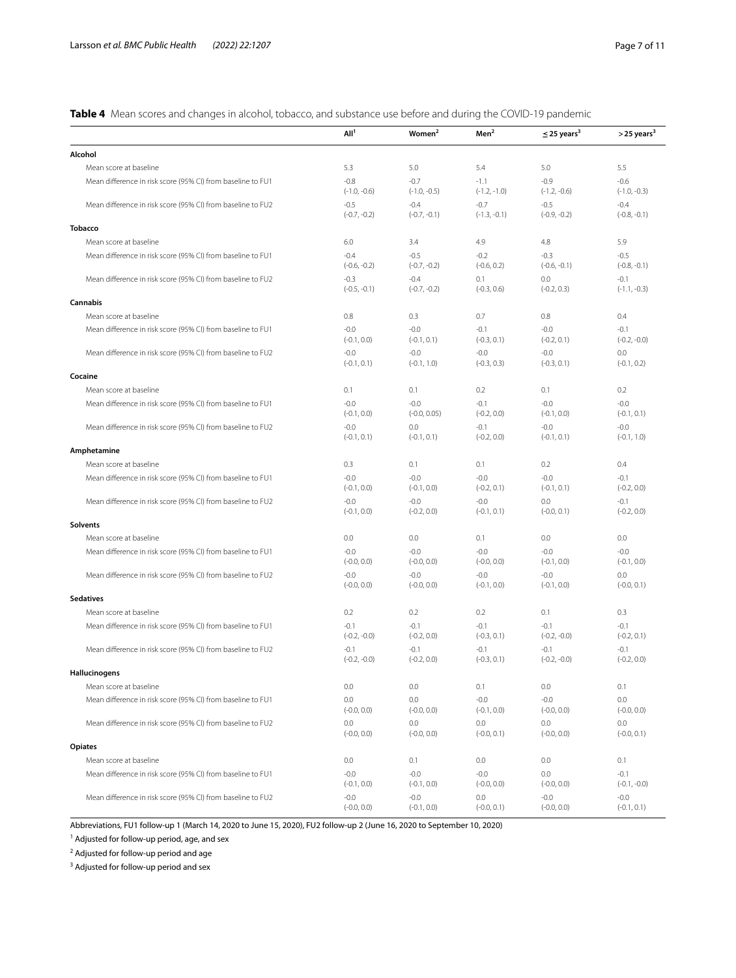<span id="page-6-0"></span>**Table 4** Mean scores and changes in alcohol, tobacco, and substance use before and during the COVID-19 pandemic

|                                                             | All <sup>1</sup>         | Women <sup>2</sup>       | Men <sup>2</sup>         | $\leq$ 25 years <sup>3</sup> | $>$ 25 years <sup>3</sup> |
|-------------------------------------------------------------|--------------------------|--------------------------|--------------------------|------------------------------|---------------------------|
| Alcohol                                                     |                          |                          |                          |                              |                           |
| Mean score at baseline                                      | 5.3                      | 5.0                      | 5.4                      | 5.0                          | 5.5                       |
| Mean difference in risk score (95% CI) from baseline to FU1 | $-0.8$<br>$(-1.0, -0.6)$ | $-0.7$<br>$(-1.0, -0.5)$ | $-1.1$<br>$(-1.2, -1.0)$ | $-0.9$<br>$(-1.2, -0.6)$     | $-0.6$<br>$(-1.0, -0.3)$  |
| Mean difference in risk score (95% CI) from baseline to FU2 | $-0.5$<br>$(-0.7, -0.2)$ | $-0.4$<br>$(-0.7, -0.1)$ | $-0.7$<br>$(-1.3, -0.1)$ | $-0.5$<br>$(-0.9, -0.2)$     | $-0.4$<br>$(-0.8, -0.1)$  |
| <b>Tobacco</b>                                              |                          |                          |                          |                              |                           |
| Mean score at baseline                                      | 6.0                      | 3.4                      | 4.9                      | 4.8                          | 5.9                       |
| Mean difference in risk score (95% CI) from baseline to FU1 | $-0.4$<br>$(-0.6, -0.2)$ | $-0.5$<br>$(-0.7, -0.2)$ | $-0.2$<br>$(-0.6, 0.2)$  | $-0.3$<br>$(-0.6, -0.1)$     | $-0.5$<br>$(-0.8, -0.1)$  |
| Mean difference in risk score (95% CI) from baseline to FU2 | $-0.3$<br>$(-0.5, -0.1)$ | $-0.4$<br>$(-0.7, -0.2)$ | 0.1<br>$(-0.3, 0.6)$     | 0.0<br>$(-0.2, 0.3)$         | $-0.1$<br>$(-1.1, -0.3)$  |
| Cannabis                                                    |                          |                          |                          |                              |                           |
| Mean score at baseline                                      | 0.8                      | 0.3                      | 0.7                      | 0.8                          | 0.4                       |
| Mean difference in risk score (95% CI) from baseline to FU1 | $-0.0$<br>$(-0.1, 0.0)$  | $-0.0$<br>$(-0.1, 0.1)$  | $-0.1$<br>$(-0.3, 0.1)$  | $-0.0$<br>$(-0.2, 0.1)$      | $-0.1$<br>$(-0.2, -0.0)$  |
| Mean difference in risk score (95% CI) from baseline to FU2 | $-0.0$<br>$(-0.1, 0.1)$  | $-0.0$<br>$(-0.1, 1.0)$  | $-0.0$<br>$(-0.3, 0.3)$  | $-0.0$<br>$(-0.3, 0.1)$      | 0.0<br>$(-0.1, 0.2)$      |
| Cocaine                                                     |                          |                          |                          |                              |                           |
| Mean score at baseline                                      | 0.1                      | 0.1                      | 0.2                      | 0.1                          | 0.2                       |
| Mean difference in risk score (95% CI) from baseline to FU1 | $-0.0$<br>$(-0.1, 0.0)$  | $-0.0$<br>$(-0.0, 0.05)$ | $-0.1$<br>$(-0.2, 0.0)$  | $-0.0$<br>$(-0.1, 0.0)$      | $-0.0$<br>$(-0.1, 0.1)$   |
| Mean difference in risk score (95% CI) from baseline to FU2 | $-0.0$<br>$(-0.1, 0.1)$  | 0.0<br>$(-0.1, 0.1)$     | $-0.1$<br>$(-0.2, 0.0)$  | $-0.0$<br>$(-0.1, 0.1)$      | $-0.0$<br>$(-0.1, 1.0)$   |
| Amphetamine                                                 |                          |                          |                          |                              |                           |
| Mean score at baseline                                      | 0.3                      | 0.1                      | 0.1                      | 0.2                          | 0.4                       |
| Mean difference in risk score (95% CI) from baseline to FU1 | $-0.0$<br>$(-0.1, 0.0)$  | $-0.0$<br>$(-0.1, 0.0)$  | $-0.0$<br>$(-0.2, 0.1)$  | $-0.0$<br>$(-0.1, 0.1)$      | $-0.1$<br>$(-0.2, 0.0)$   |
| Mean difference in risk score (95% CI) from baseline to FU2 | $-0.0$<br>$(-0.1, 0.0)$  | $-0.0$<br>$(-0.2, 0.0)$  | $-0.0$<br>$(-0.1, 0.1)$  | 0.0<br>$(-0.0, 0.1)$         | $-0.1$<br>$(-0.2, 0.0)$   |
| Solvents                                                    |                          |                          |                          |                              |                           |
| Mean score at baseline                                      | 0.0                      | 0.0                      | 0.1                      | 0.0                          | 0.0                       |
| Mean difference in risk score (95% CI) from baseline to FU1 | $-0.0$<br>$(-0.0, 0.0)$  | $-0.0$<br>$(-0.0, 0.0)$  | $-0.0$<br>$(-0.0, 0.0)$  | $-0.0$<br>$(-0.1, 0.0)$      | $-0.0$<br>$(-0.1, 0.0)$   |
| Mean difference in risk score (95% CI) from baseline to FU2 | $-0.0$<br>$(-0.0, 0.0)$  | $-0.0$<br>$(-0.0, 0.0)$  | $-0.0$<br>$(-0.1, 0.0)$  | $-0.0$<br>$(-0.1, 0.0)$      | 0.0<br>$(-0.0, 0.1)$      |
| <b>Sedatives</b>                                            |                          |                          |                          |                              |                           |
| Mean score at baseline                                      | 0.2                      | 0.2                      | 0.2                      | 0.1                          | 0.3                       |
| Mean difference in risk score (95% CI) from baseline to FU1 | $-0.1$<br>$(-0.2, -0.0)$ | $-0.1$<br>$(-0.2, 0.0)$  | $-0.1$<br>$(-0.3, 0.1)$  | $-0.1$<br>$(-0.2, -0.0)$     | $-0.1$<br>$(-0.2, 0.1)$   |
| Mean difference in risk score (95% CI) from baseline to FU2 | $-0.1$<br>$(-0.2, -0.0)$ | $-0.1$<br>$(-0.2, 0.0)$  | $-0.1$<br>$(-0.3, 0.1)$  | -0.1<br>$(-0.2, -0.0)$       | $-0.1$<br>$(-0.2, 0.0)$   |
| Hallucinogens                                               |                          |                          |                          |                              |                           |
| Mean score at baseline                                      | 0.0                      | 0.0                      | 0.1                      | 0.0                          | 0.1                       |
| Mean difference in risk score (95% CI) from baseline to FU1 | 0.0<br>$(-0.0, 0.0)$     | 0.0<br>$(-0.0, 0.0)$     | $-0.0$<br>$(-0.1, 0.0)$  | $-0.0$<br>$(-0.0, 0.0)$      | 0.0<br>$(-0.0, 0.0)$      |
| Mean difference in risk score (95% CI) from baseline to FU2 | 0.0<br>$(-0.0, 0.0)$     | 0.0<br>$(-0.0, 0.0)$     | 0.0<br>$(-0.0, 0.1)$     | 0.0<br>$(-0.0, 0.0)$         | 0.0<br>$(-0.0, 0.1)$      |
| <b>Opiates</b>                                              |                          |                          |                          |                              |                           |
| Mean score at baseline                                      | 0.0                      | 0.1                      | 0.0                      | 0.0                          | 0.1                       |
| Mean difference in risk score (95% CI) from baseline to FU1 | $-0.0$<br>$(-0.1, 0.0)$  | $-0.0$<br>$(-0.1, 0.0)$  | $-0.0$<br>$(-0.0, 0.0)$  | 0.0<br>$(-0.0, 0.0)$         | $-0.1$<br>$(-0.1, -0.0)$  |
| Mean difference in risk score (95% CI) from baseline to FU2 | $-0.0$<br>$(-0.0, 0.0)$  | $-0.0$<br>$(-0.1, 0.0)$  | 0.0<br>$(-0.0, 0.1)$     | $-0.0$<br>$(-0.0, 0.0)$      | $-0.0$<br>$(-0.1, 0.1)$   |

Abbreviations, FU1 follow-up 1 (March 14, 2020 to June 15, 2020), FU2 follow-up 2 (June 16, 2020 to September 10, 2020)

<sup>1</sup> Adjusted for follow-up period, age, and sex

<sup>2</sup> Adjusted for follow-up period and age

<sup>3</sup> Adjusted for follow-up period and sex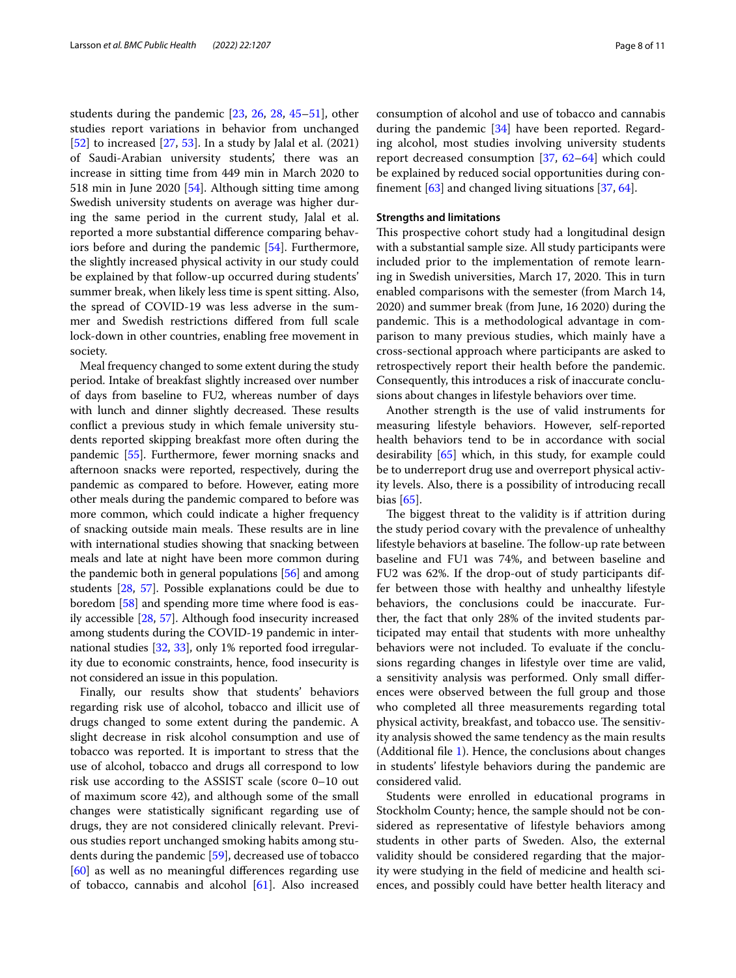students during the pandemic [\[23](#page-9-8), [26](#page-9-11), [28,](#page-9-13) [45](#page-9-27)[–51\]](#page-9-28), other studies report variations in behavior from unchanged  $[52]$  $[52]$  to increased  $[27, 53]$  $[27, 53]$  $[27, 53]$ . In a study by Jalal et al.  $(2021)$ of Saudi-Arabian university students', there was an increase in sitting time from 449 min in March 2020 to 518 min in June 2020 [\[54\]](#page-10-1). Although sitting time among Swedish university students on average was higher during the same period in the current study, Jalal et al. reported a more substantial diference comparing behaviors before and during the pandemic [\[54](#page-10-1)]. Furthermore, the slightly increased physical activity in our study could be explained by that follow-up occurred during students' summer break, when likely less time is spent sitting. Also, the spread of COVID-19 was less adverse in the summer and Swedish restrictions difered from full scale lock-down in other countries, enabling free movement in society.

Meal frequency changed to some extent during the study period. Intake of breakfast slightly increased over number of days from baseline to FU2, whereas number of days with lunch and dinner slightly decreased. These results confict a previous study in which female university students reported skipping breakfast more often during the pandemic [\[55](#page-10-2)]. Furthermore, fewer morning snacks and afternoon snacks were reported, respectively, during the pandemic as compared to before. However, eating more other meals during the pandemic compared to before was more common, which could indicate a higher frequency of snacking outside main meals. These results are in line with international studies showing that snacking between meals and late at night have been more common during the pandemic both in general populations [\[56\]](#page-10-3) and among students [[28](#page-9-13), [57](#page-10-4)]. Possible explanations could be due to boredom [\[58\]](#page-10-5) and spending more time where food is easily accessible [\[28](#page-9-13), [57\]](#page-10-4). Although food insecurity increased among students during the COVID-19 pandemic in international studies [\[32,](#page-9-17) [33](#page-9-18)], only 1% reported food irregularity due to economic constraints, hence, food insecurity is not considered an issue in this population.

Finally, our results show that students' behaviors regarding risk use of alcohol, tobacco and illicit use of drugs changed to some extent during the pandemic. A slight decrease in risk alcohol consumption and use of tobacco was reported. It is important to stress that the use of alcohol, tobacco and drugs all correspond to low risk use according to the ASSIST scale (score 0–10 out of maximum score 42), and although some of the small changes were statistically signifcant regarding use of drugs, they are not considered clinically relevant. Previous studies report unchanged smoking habits among students during the pandemic [[59\]](#page-10-6), decreased use of tobacco [[60\]](#page-10-7) as well as no meaningful diferences regarding use of tobacco, cannabis and alcohol [[61\]](#page-10-8). Also increased consumption of alcohol and use of tobacco and cannabis during the pandemic [[34](#page-9-19)] have been reported. Regarding alcohol, most studies involving university students report decreased consumption [\[37](#page-9-30), [62–](#page-10-9)[64\]](#page-10-10) which could be explained by reduced social opportunities during confnement [[63\]](#page-10-11) and changed living situations [\[37](#page-9-30), [64\]](#page-10-10).

# **Strengths and limitations**

This prospective cohort study had a longitudinal design with a substantial sample size. All study participants were included prior to the implementation of remote learning in Swedish universities, March 17, 2020. This in turn enabled comparisons with the semester (from March 14, 2020) and summer break (from June, 16 2020) during the pandemic. This is a methodological advantage in comparison to many previous studies, which mainly have a cross-sectional approach where participants are asked to retrospectively report their health before the pandemic. Consequently, this introduces a risk of inaccurate conclusions about changes in lifestyle behaviors over time.

Another strength is the use of valid instruments for measuring lifestyle behaviors. However, self-reported health behaviors tend to be in accordance with social desirability [[65\]](#page-10-12) which, in this study, for example could be to underreport drug use and overreport physical activity levels. Also, there is a possibility of introducing recall bias [\[65](#page-10-12)].

The biggest threat to the validity is if attrition during the study period covary with the prevalence of unhealthy lifestyle behaviors at baseline. The follow-up rate between baseline and FU1 was 74%, and between baseline and FU2 was 62%. If the drop-out of study participants differ between those with healthy and unhealthy lifestyle behaviors, the conclusions could be inaccurate. Further, the fact that only 28% of the invited students participated may entail that students with more unhealthy behaviors were not included. To evaluate if the conclusions regarding changes in lifestyle over time are valid, a sensitivity analysis was performed. Only small diferences were observed between the full group and those who completed all three measurements regarding total physical activity, breakfast, and tobacco use. The sensitivity analysis showed the same tendency as the main results (Additional fle [1](#page-8-12)). Hence, the conclusions about changes in students' lifestyle behaviors during the pandemic are considered valid.

Students were enrolled in educational programs in Stockholm County; hence, the sample should not be considered as representative of lifestyle behaviors among students in other parts of Sweden. Also, the external validity should be considered regarding that the majority were studying in the feld of medicine and health sciences, and possibly could have better health literacy and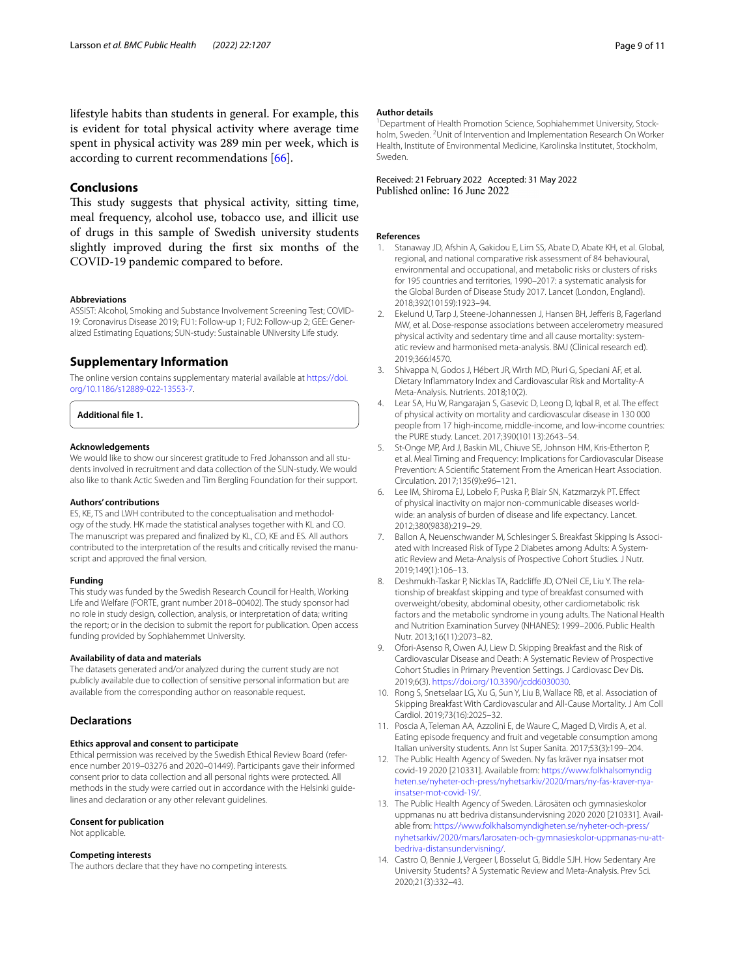lifestyle habits than students in general. For example, this is evident for total physical activity where average time spent in physical activity was 289 min per week, which is according to current recommendations [\[66\]](#page-10-13).

# **Conclusions**

This study suggests that physical activity, sitting time, meal frequency, alcohol use, tobacco use, and illicit use of drugs in this sample of Swedish university students slightly improved during the frst six months of the COVID-19 pandemic compared to before.

#### **Abbreviations**

ASSIST: Alcohol, Smoking and Substance Involvement Screening Test; COVID-19: Coronavirus Disease 2019; FU1: Follow-up 1; FU2: Follow-up 2; GEE: Generalized Estimating Equations; SUN-study: Sustainable UNiversity Life study.

# **Supplementary Information**

The online version contains supplementary material available at [https://doi.](https://doi.org/10.1186/s12889-022-13553-7) [org/10.1186/s12889-022-13553-7](https://doi.org/10.1186/s12889-022-13553-7).

<span id="page-8-12"></span>**Additional fle 1.**

#### **Acknowledgements**

We would like to show our sincerest gratitude to Fred Johansson and all students involved in recruitment and data collection of the SUN-study. We would also like to thank Actic Sweden and Tim Bergling Foundation for their support.

#### **Authors' contributions**

ES, KE, TS and LWH contributed to the conceptualisation and methodology of the study. HK made the statistical analyses together with KL and CO. The manuscript was prepared and fnalized by KL, CO, KE and ES. All authors contributed to the interpretation of the results and critically revised the manuscript and approved the fnal version.

#### **Funding**

This study was funded by the Swedish Research Council for Health, Working Life and Welfare (FORTE, grant number 2018–00402). The study sponsor had no role in study design, collection, analysis, or interpretation of data; writing the report; or in the decision to submit the report for publication. Open access funding provided by Sophiahemmet University.

## **Availability of data and materials**

The datasets generated and/or analyzed during the current study are not publicly available due to collection of sensitive personal information but are available from the corresponding author on reasonable request.

## **Declarations**

#### **Ethics approval and consent to participate**

Ethical permission was received by the Swedish Ethical Review Board (reference number 2019–03276 and 2020–01449). Participants gave their informed consent prior to data collection and all personal rights were protected. All methods in the study were carried out in accordance with the Helsinki guidelines and declaration or any other relevant guidelines.

#### **Consent for publication**

Not applicable.

#### **Competing interests**

The authors declare that they have no competing interests.

#### **Author details**

<sup>1</sup> Department of Health Promotion Science, Sophiahemmet University, Stockholm, Sweden. <sup>2</sup>Unit of Intervention and Implementation Research On Worker Health, Institute of Environmental Medicine, Karolinska Institutet, Stockholm, Sweden.

# Received: 21 February 2022 Accepted: 31 May 2022

#### **References**

- <span id="page-8-0"></span>Stanaway JD, Afshin A, Gakidou E, Lim SS, Abate D, Abate KH, et al. Global, regional, and national comparative risk assessment of 84 behavioural, environmental and occupational, and metabolic risks or clusters of risks for 195 countries and territories, 1990–2017: a systematic analysis for the Global Burden of Disease Study 2017. Lancet (London, England). 2018;392(10159):1923–94.
- <span id="page-8-1"></span>2. Ekelund U, Tarp J, Steene-Johannessen J, Hansen BH, Jefferis B, Fagerland MW, et al. Dose-response associations between accelerometry measured physical activity and sedentary time and all cause mortality: systematic review and harmonised meta-analysis. BMJ (Clinical research ed). 2019;366:l4570.
- <span id="page-8-2"></span>3. Shivappa N, Godos J, Hébert JR, Wirth MD, Piuri G, Speciani AF, et al. Dietary Infammatory Index and Cardiovascular Risk and Mortality-A Meta-Analysis. Nutrients. 2018;10(2).
- <span id="page-8-3"></span>4. Lear SA, Hu W, Rangarajan S, Gasevic D, Leong D, Iqbal R, et al. The efect of physical activity on mortality and cardiovascular disease in 130 000 people from 17 high-income, middle-income, and low-income countries: the PURE study. Lancet. 2017;390(10113):2643–54.
- <span id="page-8-4"></span>5. St-Onge MP, Ard J, Baskin ML, Chiuve SE, Johnson HM, Kris-Etherton P, et al. Meal Timing and Frequency: Implications for Cardiovascular Disease Prevention: A Scientifc Statement From the American Heart Association. Circulation. 2017;135(9):e96–121.
- <span id="page-8-5"></span>6. Lee IM, Shiroma EJ, Lobelo F, Puska P, Blair SN, Katzmarzyk PT. Efect of physical inactivity on major non-communicable diseases worldwide: an analysis of burden of disease and life expectancy. Lancet. 2012;380(9838):219–29.
- <span id="page-8-6"></span>7. Ballon A, Neuenschwander M, Schlesinger S. Breakfast Skipping Is Associated with Increased Risk of Type 2 Diabetes among Adults: A Systematic Review and Meta-Analysis of Prospective Cohort Studies. J Nutr. 2019;149(1):106–13.
- 8. Deshmukh-Taskar P, Nicklas TA, Radcliffe JD, O'Neil CE, Liu Y. The relationship of breakfast skipping and type of breakfast consumed with overweight/obesity, abdominal obesity, other cardiometabolic risk factors and the metabolic syndrome in young adults. The National Health and Nutrition Examination Survey (NHANES): 1999–2006. Public Health Nutr. 2013;16(11):2073–82.
- 9. Ofori-Asenso R, Owen AJ, Liew D. Skipping Breakfast and the Risk of Cardiovascular Disease and Death: A Systematic Review of Prospective Cohort Studies in Primary Prevention Settings. J Cardiovasc Dev Dis. 2019;6(3). <https://doi.org/10.3390/jcdd6030030>.
- <span id="page-8-7"></span>10. Rong S, Snetselaar LG, Xu G, Sun Y, Liu B, Wallace RB, et al. Association of Skipping Breakfast With Cardiovascular and All-Cause Mortality. J Am Coll Cardiol. 2019;73(16):2025–32.
- <span id="page-8-8"></span>11. Poscia A, Teleman AA, Azzolini E, de Waure C, Maged D, Virdis A, et al. Eating episode frequency and fruit and vegetable consumption among Italian university students. Ann Ist Super Sanita. 2017;53(3):199–204.
- <span id="page-8-9"></span>12. The Public Health Agency of Sweden. Ny fas kräver nya insatser mot covid-19 2020 [210331]. Available from: [https://www.folkhalsomyndig](https://www.folkhalsomyndigheten.se/nyheter-och-press/nyhetsarkiv/2020/mars/ny-fas-kraver-nya-insatser-mot-covid-19/) [heten.se/nyheter-och-press/nyhetsarkiv/2020/mars/ny-fas-kraver-nya](https://www.folkhalsomyndigheten.se/nyheter-och-press/nyhetsarkiv/2020/mars/ny-fas-kraver-nya-insatser-mot-covid-19/)[insatser-mot-covid-19/.](https://www.folkhalsomyndigheten.se/nyheter-och-press/nyhetsarkiv/2020/mars/ny-fas-kraver-nya-insatser-mot-covid-19/)
- <span id="page-8-10"></span>13. The Public Health Agency of Sweden. Lärosäten och gymnasieskolor uppmanas nu att bedriva distansundervisning 2020 2020 [210331]. Available from: [https://www.folkhalsomyndigheten.se/nyheter-och-press/](https://www.folkhalsomyndigheten.se/nyheter-och-press/nyhetsarkiv/2020/mars/larosaten-och-gymnasieskolor-uppmanas-nu-att-bedriva-distansundervisning/) [nyhetsarkiv/2020/mars/larosaten-och-gymnasieskolor-uppmanas-nu-att](https://www.folkhalsomyndigheten.se/nyheter-och-press/nyhetsarkiv/2020/mars/larosaten-och-gymnasieskolor-uppmanas-nu-att-bedriva-distansundervisning/)[bedriva-distansundervisning/.](https://www.folkhalsomyndigheten.se/nyheter-och-press/nyhetsarkiv/2020/mars/larosaten-och-gymnasieskolor-uppmanas-nu-att-bedriva-distansundervisning/)
- <span id="page-8-11"></span>14. Castro O, Bennie J, Vergeer I, Bosselut G, Biddle SJH. How Sedentary Are University Students? A Systematic Review and Meta-Analysis. Prev Sci. 2020;21(3):332–43.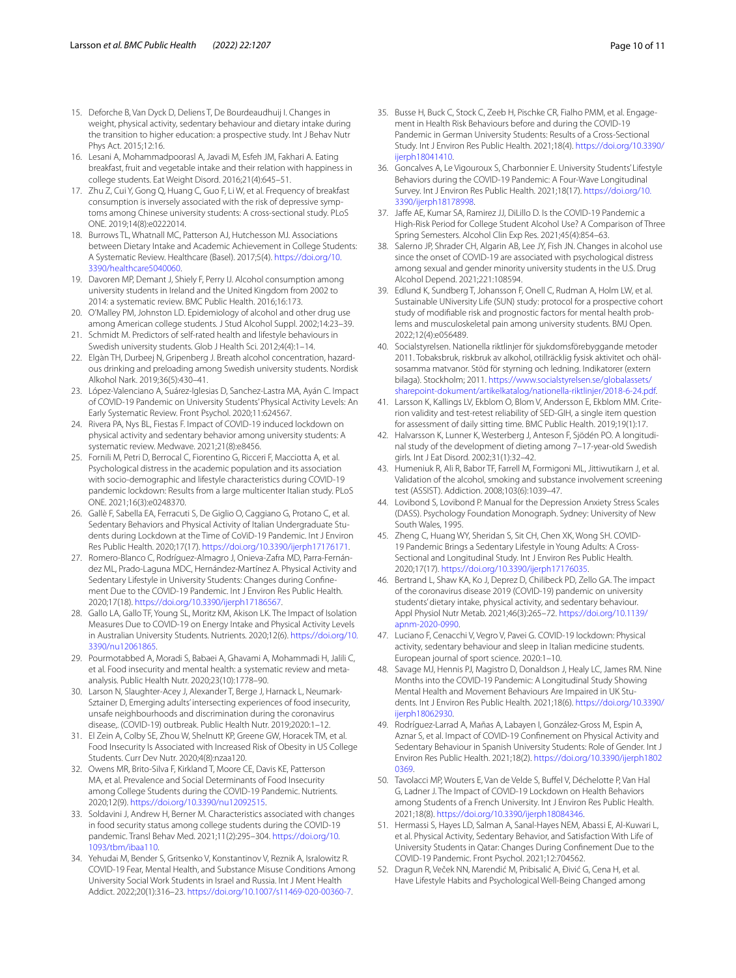- <span id="page-9-0"></span>15. Deforche B, Van Dyck D, Deliens T, De Bourdeaudhuij I. Changes in weight, physical activity, sedentary behaviour and dietary intake during the transition to higher education: a prospective study. Int J Behav Nutr Phys Act. 2015;12:16.
- <span id="page-9-1"></span>16. Lesani A, Mohammadpoorasl A, Javadi M, Esfeh JM, Fakhari A. Eating breakfast, fruit and vegetable intake and their relation with happiness in college students. Eat Weight Disord. 2016;21(4):645–51.
- <span id="page-9-2"></span>17. Zhu Z, Cui Y, Gong Q, Huang C, Guo F, Li W, et al. Frequency of breakfast consumption is inversely associated with the risk of depressive symptoms among Chinese university students: A cross-sectional study. PLoS ONE. 2019;14(8):e0222014.
- <span id="page-9-3"></span>18. Burrows TL, Whatnall MC, Patterson AJ, Hutchesson MJ. Associations between Dietary Intake and Academic Achievement in College Students: A Systematic Review. Healthcare (Basel). 2017;5(4). [https://doi.org/10.](https://doi.org/10.3390/healthcare5040060) [3390/healthcare5040060](https://doi.org/10.3390/healthcare5040060).
- <span id="page-9-4"></span>19. Davoren MP, Demant J, Shiely F, Perry IJ. Alcohol consumption among university students in Ireland and the United Kingdom from 2002 to 2014: a systematic review. BMC Public Health. 2016;16:173.
- <span id="page-9-5"></span>20. O'Malley PM, Johnston LD. Epidemiology of alcohol and other drug use among American college students. J Stud Alcohol Suppl. 2002;14:23–39.
- <span id="page-9-6"></span>21. Schmidt M. Predictors of self-rated health and lifestyle behaviours in Swedish university students. Glob J Health Sci. 2012;4(4):1–14.
- <span id="page-9-7"></span>22. Elgàn TH, Durbeej N, Gripenberg J. Breath alcohol concentration, hazardous drinking and preloading among Swedish university students. Nordisk Alkohol Nark. 2019;36(5):430–41.
- <span id="page-9-8"></span>23. López-Valenciano A, Suárez-Iglesias D, Sanchez-Lastra MA, Ayán C. Impact of COVID-19 Pandemic on University Students' Physical Activity Levels: An Early Systematic Review. Front Psychol. 2020;11:624567.
- <span id="page-9-9"></span>24. Rivera PA, Nys BL, Fiestas F. Impact of COVID-19 induced lockdown on physical activity and sedentary behavior among university students: A systematic review. Medwave. 2021;21(8):e8456.
- <span id="page-9-10"></span>25. Fornili M, Petri D, Berrocal C, Fiorentino G, Ricceri F, Macciotta A, et al. Psychological distress in the academic population and its association with socio-demographic and lifestyle characteristics during COVID-19 pandemic lockdown: Results from a large multicenter Italian study. PLoS ONE. 2021;16(3):e0248370.
- <span id="page-9-11"></span>26. Gallè F, Sabella EA, Ferracuti S, De Giglio O, Caggiano G, Protano C, et al. Sedentary Behaviors and Physical Activity of Italian Undergraduate Students during Lockdown at the Time of CoViD-19 Pandemic. Int J Environ Res Public Health. 2020;17(17). <https://doi.org/10.3390/ijerph17176171>.
- <span id="page-9-12"></span>27. Romero-Blanco C, Rodríguez-Almagro J, Onieva-Zafra MD, Parra-Fernández ML, Prado-Laguna MDC, Hernández-Martínez A. Physical Activity and Sedentary Lifestyle in University Students: Changes during Confnement Due to the COVID-19 Pandemic. Int J Environ Res Public Health. 2020;17(18). [https://doi.org/10.3390/ijerph17186567.](https://doi.org/10.3390/ijerph17186567)
- <span id="page-9-13"></span>28. Gallo LA, Gallo TF, Young SL, Moritz KM, Akison LK. The Impact of Isolation Measures Due to COVID-19 on Energy Intake and Physical Activity Levels in Australian University Students. Nutrients. 2020;12(6). [https://doi.org/10.](https://doi.org/10.3390/nu12061865) [3390/nu12061865](https://doi.org/10.3390/nu12061865).
- <span id="page-9-14"></span>29. Pourmotabbed A, Moradi S, Babaei A, Ghavami A, Mohammadi H, Jalili C, et al. Food insecurity and mental health: a systematic review and metaanalysis. Public Health Nutr. 2020;23(10):1778–90.
- <span id="page-9-15"></span>30. Larson N, Slaughter-Acey J, Alexander T, Berge J, Harnack L, Neumark-Sztainer D, Emerging adults' intersecting experiences of food insecurity, unsafe neighbourhoods and discrimination during the coronavirus disease,. (COVID-19) outbreak. Public Health Nutr. 2019;2020:1–12.
- <span id="page-9-16"></span>31. El Zein A, Colby SE, Zhou W, Shelnutt KP, Greene GW, Horacek TM, et al. Food Insecurity Is Associated with Increased Risk of Obesity in US College Students. Curr Dev Nutr. 2020;4(8):nzaa120.
- <span id="page-9-17"></span>32. Owens MR, Brito-Silva F, Kirkland T, Moore CE, Davis KE, Patterson MA, et al. Prevalence and Social Determinants of Food Insecurity among College Students during the COVID-19 Pandemic. Nutrients. 2020;12(9). [https://doi.org/10.3390/nu12092515.](https://doi.org/10.3390/nu12092515)
- <span id="page-9-18"></span>33. Soldavini J, Andrew H, Berner M. Characteristics associated with changes in food security status among college students during the COVID-19 pandemic. Transl Behav Med. 2021;11(2):295–304. [https://doi.org/10.](https://doi.org/10.1093/tbm/ibaa110) [1093/tbm/ibaa110.](https://doi.org/10.1093/tbm/ibaa110)
- <span id="page-9-19"></span>34. Yehudai M, Bender S, Gritsenko V, Konstantinov V, Reznik A, Isralowitz R. COVID-19 Fear, Mental Health, and Substance Misuse Conditions Among University Social Work Students in Israel and Russia. Int J Ment Health Addict. 2022;20(1):316–23. <https://doi.org/10.1007/s11469-020-00360-7>.
- 35. Busse H, Buck C, Stock C, Zeeb H, Pischke CR, Fialho PMM, et al. Engagement in Health Risk Behaviours before and during the COVID-19 Pandemic in German University Students: Results of a Cross-Sectional Study. Int J Environ Res Public Health. 2021;18(4). [https://doi.org/10.3390/](https://doi.org/10.3390/ijerph18041410) [ijerph18041410](https://doi.org/10.3390/ijerph18041410).
- 36. Goncalves A, Le Vigouroux S, Charbonnier E. University Students' Lifestyle Behaviors during the COVID-19 Pandemic: A Four-Wave Longitudinal Survey. Int J Environ Res Public Health. 2021;18(17). [https://doi.org/10.](https://doi.org/10.3390/ijerph18178998) [3390/ijerph18178998.](https://doi.org/10.3390/ijerph18178998)
- <span id="page-9-30"></span>37. Jafe AE, Kumar SA, Ramirez JJ, DiLillo D. Is the COVID-19 Pandemic a High-Risk Period for College Student Alcohol Use? A Comparison of Three Spring Semesters. Alcohol Clin Exp Res. 2021;45(4):854–63.
- <span id="page-9-20"></span>38. Salerno JP, Shrader CH, Algarin AB, Lee JY, Fish JN. Changes in alcohol use since the onset of COVID-19 are associated with psychological distress among sexual and gender minority university students in the U.S. Drug Alcohol Depend. 2021;221:108594.
- <span id="page-9-21"></span>39. Edlund K, Sundberg T, Johansson F, Onell C, Rudman A, Holm LW, et al. Sustainable UNiversity Life (SUN) study: protocol for a prospective cohort study of modifable risk and prognostic factors for mental health problems and musculoskeletal pain among university students. BMJ Open. 2022;12(4):e056489.
- <span id="page-9-22"></span>40. Socialstyrelsen. Nationella riktlinjer för sjukdomsförebyggande metoder 2011. Tobaksbruk, riskbruk av alkohol, otillräcklig fysisk aktivitet och ohälsosamma matvanor. Stöd för styrning och ledning. Indikatorer (extern bilaga). Stockholm; 2011. [https://www.socialstyrelsen.se/globalassets/](https://www.socialstyrelsen.se/globalassets/sharepoint-dokument/artikelkatalog/nationella-riktlinjer/2018-6-24.pdf) [sharepoint-dokument/artikelkatalog/nationella-riktlinjer/2018-6-24.pdf.](https://www.socialstyrelsen.se/globalassets/sharepoint-dokument/artikelkatalog/nationella-riktlinjer/2018-6-24.pdf)
- <span id="page-9-23"></span>41. Larsson K, Kallings LV, Ekblom O, Blom V, Andersson E, Ekblom MM. Criterion validity and test-retest reliability of SED-GIH, a single item question for assessment of daily sitting time. BMC Public Health. 2019;19(1):17.
- <span id="page-9-24"></span>42. Halvarsson K, Lunner K, Westerberg J, Anteson F, Sjödén PO. A longitudinal study of the development of dieting among 7–17-year-old Swedish girls. Int J Eat Disord. 2002;31(1):32–42.
- <span id="page-9-25"></span>43. Humeniuk R, Ali R, Babor TF, Farrell M, Formigoni ML, Jittiwutikarn J, et al. Validation of the alcohol, smoking and substance involvement screening test (ASSIST). Addiction. 2008;103(6):1039–47.
- <span id="page-9-26"></span>44. Lovibond S, Lovibond P. Manual for the Depression Anxiety Stress Scales (DASS). Psychology Foundation Monograph. Sydney: University of New South Wales, 1995.
- <span id="page-9-27"></span>45. Zheng C, Huang WY, Sheridan S, Sit CH, Chen XK, Wong SH. COVID-19 Pandemic Brings a Sedentary Lifestyle in Young Adults: A Cross-Sectional and Longitudinal Study. Int J Environ Res Public Health. 2020;17(17). [https://doi.org/10.3390/ijerph17176035.](https://doi.org/10.3390/ijerph17176035)
- 46. Bertrand L, Shaw KA, Ko J, Deprez D, Chilibeck PD, Zello GA. The impact of the coronavirus disease 2019 (COVID-19) pandemic on university students' dietary intake, physical activity, and sedentary behaviour. Appl Physiol Nutr Metab. 2021;46(3):265–72. [https://doi.org/10.1139/](https://doi.org/10.1139/apnm-2020-0990) [apnm-2020-0990](https://doi.org/10.1139/apnm-2020-0990).
- 47. Luciano F, Cenacchi V, Vegro V, Pavei G. COVID-19 lockdown: Physical activity, sedentary behaviour and sleep in Italian medicine students. European journal of sport science. 2020:1–10.
- 48. Savage MJ, Hennis PJ, Magistro D, Donaldson J, Healy LC, James RM. Nine Months into the COVID-19 Pandemic: A Longitudinal Study Showing Mental Health and Movement Behaviours Are Impaired in UK Students. Int J Environ Res Public Health. 2021;18(6). [https://doi.org/10.3390/](https://doi.org/10.3390/ijerph18062930) [ijerph18062930](https://doi.org/10.3390/ijerph18062930).
- 49. Rodríguez-Larrad A, Mañas A, Labayen I, González-Gross M, Espin A, Aznar S, et al. Impact of COVID-19 Confnement on Physical Activity and Sedentary Behaviour in Spanish University Students: Role of Gender. Int J Environ Res Public Health. 2021;18(2). [https://doi.org/10.3390/ijerph1802](https://doi.org/10.3390/ijerph18020369) [0369](https://doi.org/10.3390/ijerph18020369).
- 50. Tavolacci MP, Wouters E, Van de Velde S, Bufel V, Déchelotte P, Van Hal G, Ladner J. The Impact of COVID-19 Lockdown on Health Behaviors among Students of a French University. Int J Environ Res Public Health. 2021;18(8). [https://doi.org/10.3390/ijerph18084346.](https://doi.org/10.3390/ijerph18084346)
- <span id="page-9-28"></span>51. Hermassi S, Hayes LD, Salman A, Sanal-Hayes NEM, Abassi E, Al-Kuwari L, et al. Physical Activity, Sedentary Behavior, and Satisfaction With Life of University Students in Qatar: Changes During Confnement Due to the COVID-19 Pandemic. Front Psychol. 2021;12:704562.
- <span id="page-9-29"></span>52. Dragun R, Veček NN, Marendić M, Pribisalić A, Đivić G, Cena H, et al. Have Lifestyle Habits and Psychological Well-Being Changed among